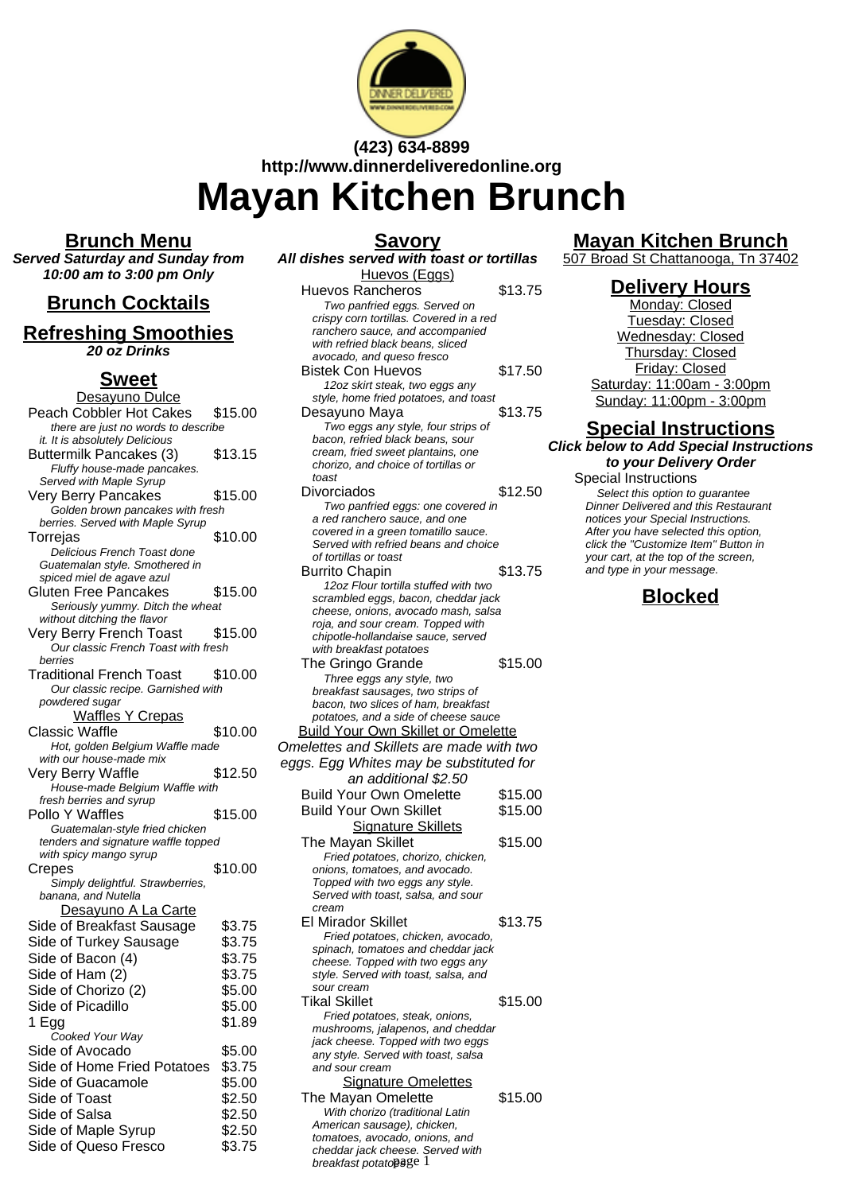

# **(423) 634-8899 http://www.dinnerdeliveredonline.org Mayan Kitchen Brunch**

**Savory**

#### **Brunch Menu**

**Served Saturday and Sunday from 10:00 am to 3:00 pm Only**

# **Brunch Cocktails**

#### **Refreshing Smoothies 20 oz Drinks**

### **Sweet**

| <u>Desayuno Dulce</u>                                       |         |
|-------------------------------------------------------------|---------|
| Peach Cobbler Hot Cakes                                     | \$15.00 |
| there are just no words to describe                         |         |
| it. It is absolutely Delicious                              |         |
| Buttermilk Pancakes (3)                                     | \$13.15 |
| Fluffy house-made pancakes.                                 |         |
| Served with Maple Syrup                                     |         |
| Very Berry Pancakes                                         | \$15.00 |
| Golden brown pancakes with fresh                            |         |
| berries. Served with Maple Syrup                            |         |
| Torrejas                                                    | \$10.00 |
| Delicious French Toast done                                 |         |
| Guatemalan style. Smothered in<br>spiced miel de agave azul |         |
| Gluten Free Pancakes                                        | \$15.00 |
| Seriously yummy. Ditch the wheat                            |         |
| without ditching the flavor                                 |         |
| Very Berry French Toast                                     | \$15.00 |
| Our classic French Toast with fresh                         |         |
| berries                                                     |         |
| <b>Traditional French Toast</b>                             | \$10.00 |
| Our classic recipe. Garnished with                          |         |
| powdered sugar                                              |         |
| <b>Waffles Y Crepas</b>                                     |         |
| <b>Classic Waffle</b>                                       | \$10.00 |
| Hot, golden Belgium Waffle made                             |         |
| with our house-made mix                                     |         |
| Very Berry Waffle                                           | \$12.50 |
| House-made Belgium Waffle with                              |         |
| fresh berries and syrup                                     |         |
| Pollo Y Waffles                                             | \$15.00 |
| Guatemalan-style fried chicken                              |         |
| tenders and signature waffle topped                         |         |
| with spicy mango syrup                                      |         |
| Crepes                                                      | \$10.00 |
| Simply delightful. Strawberries,                            |         |
| banana, and Nutella                                         |         |
| Desayuno A La Carte                                         |         |
| Side of Breakfast Sausage                                   | \$3.75  |
| Side of Turkey Sausage                                      | \$3.75  |
| Side of Bacon (4)                                           | \$3.75  |
| Side of Ham (2)                                             | \$3.75  |
| Side of Chorizo (2)                                         | \$5.00  |
| Side of Picadillo                                           | \$5.00  |
| 1 Egg                                                       | \$1.89  |
| Cooked Your Way                                             |         |
| Side of Avocado                                             | \$5.00  |
| Side of Home Fried Potatoes                                 | \$3.75  |
| Side of Guacamole                                           | \$5.00  |
| Side of Toast                                               | \$2.50  |
|                                                             |         |
| Side of Salsa                                               | \$2.50  |
| Side of Maple Syrup                                         | \$2.50  |
| Side of Queso Fresco                                        | \$3.75  |
|                                                             |         |

#### **All dishes served with toast or tortillas** Huevos (Eggs) Huevos Rancheros \$13.75 Two panfried eggs. Served on crispy corn tortillas. Covered in a red ranchero sauce, and accompanied with refried black beans, sliced avocado, and queso fresco Bistek Con Huevos \$17.50 12oz skirt steak, two eggs any style, home fried potatoes, and toast Desayuno Maya \$13.75 Two eggs any style, four strips of bacon, refried black beans, sour cream, fried sweet plantains, one chorizo, and choice of tortillas or toast Divorciados \$12.50 Two panfried eggs: one covered in a red ranchero sauce, and one covered in a green tomatillo sauce. Served with refried beans and choice of tortillas or toast Burrito Chapin \$13.75 12oz Flour tortilla stuffed with two scrambled eggs, bacon, cheddar jack cheese, onions, avocado mash, salsa roja, and sour cream. Topped with chipotle-hollandaise sauce, served with breakfast potatoes The Gringo Grande \$15.00 Three eggs any style, two breakfast sausages, two strips of bacon, two slices of ham, breakfast potatoes, and a side of cheese sauce Build Your Own Skillet or Omelette Omelettes and Skillets are made with two eggs. Egg Whites may be substituted for an additional \$2.50 Build Your Own Omelette \$15.00 Build Your Own Skillet \$15.00 **Signature Skillets** The Mayan Skillet \$15.00 Fried potatoes, chorizo, chicken, onions, tomatoes, and avocado. Topped with two eggs any style. Served with toast, salsa, and sour cream El Mirador Skillet \$13.75 Fried potatoes, chicken, avocado, spinach, tomatoes and cheddar jack cheese. Topped with two eggs any style. Served with toast, salsa, and sour cream Tikal Skillet **\$15.00** Fried potatoes, steak, onions, mushrooms, jalapenos, and cheddar jack cheese. Topped with two eggs any style. Served with toast, salsa and sour cream **Signature Omelettes** The Mayan Omelette \$15.00 With chorizo (traditional Latin

American sausage), chicken, tomatoes, avocado, onions, and cheddar jack cheese. Served with breakfast potatopage 1

# **Mayan Kitchen Brunch**

507 Broad St Chattanooga, Tn 37402

#### **Delivery Hours**

Monday: Closed Tuesday: Closed Wednesday: Closed Thursday: Closed Friday: Closed Saturday: 11:00am - 3:00pm Sunday: 11:00pm - 3:00pm

#### **Special Instructions Click below to Add Special Instructions to your Delivery Order**

Special Instructions Select this option to quarantee Dinner Delivered and this Restaurant notices your Special Instructions. After you have selected this option, click the "Customize Item" Button in your cart, at the top of the screen, and type in your message.